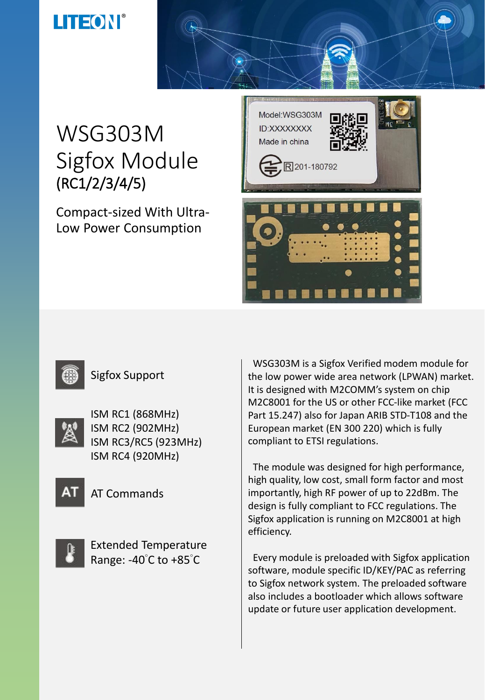# WSG303M Sigfox Module (RC1/2/3/4/5)

Compact-sized With Ultra-Low Power Consumption





#### Sigfox Support



ISM RC1 (868MHz) ISM RC2 (902MHz) ISM RC3/RC5 (923MHz) ISM RC4 (920MHz)



AT Commands



Extended Temperature Range: -40°C to +85°C

WSG303M is a Sigfox Verified modem module for the low power wide area network (LPWAN) market. It is designed with M2COMM's system on chip M2C8001 for the US or other FCC-like market (FCC Part 15.247) also for Japan ARIB STD-T108 and the European market (EN 300 220) which is fully compliant to ETSI regulations.

The module was designed for high performance, high quality, low cost, small form factor and most importantly, high RF power of up to 22dBm. The design is fully compliant to FCC regulations. The Sigfox application is running on M2C8001 at high efficiency.

Every module is preloaded with Sigfox application software, module specific ID/KEY/PAC as referring to Sigfox network system. The preloaded software also includes a bootloader which allows software update or future user application development.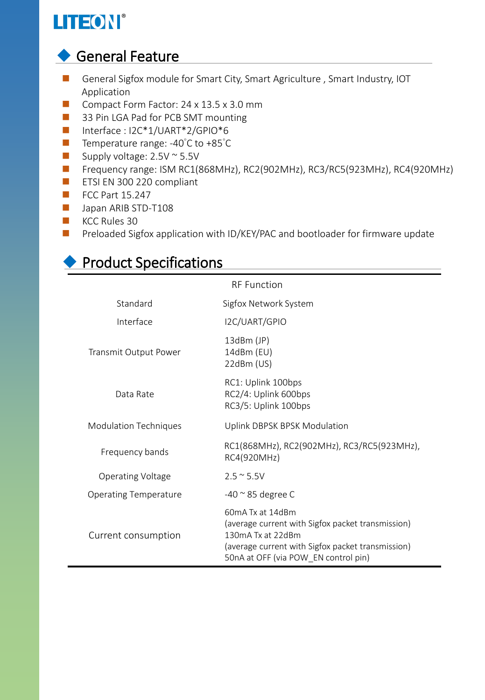### ◆ General Feature

- General Sigfox module for Smart City, Smart Agriculture, Smart Industry, IOT Application
- Compact Form Factor: 24 x 13.5 x 3.0 mm
- 33 Pin LGA Pad for PCB SMT mounting
- Interface : I2C\*1/UART\*2/GPIO\*6
- Temperature range: -40°C to +85°C
- Supply voltage: 2.5V ~ 5.5V
- ◼ Frequency range: ISM RC1(868MHz), RC2(902MHz), RC3/RC5(923MHz), RC4(920MHz)
- ETSI EN 300 220 compliant
- FCC Part 15.247
- Japan ARIB STD-T108
- KCC Rules 30
- Preloaded Sigfox application with ID/KEY/PAC and bootloader for firmware update

### ◆ Product Specifications

| <b>RF</b> Function           |                                                                                                                                                                                         |  |  |
|------------------------------|-----------------------------------------------------------------------------------------------------------------------------------------------------------------------------------------|--|--|
| Standard                     | Sigfox Network System                                                                                                                                                                   |  |  |
| Interface                    | I2C/UART/GPIO                                                                                                                                                                           |  |  |
| Transmit Output Power        | $13dBm$ (JP)<br>14dBm (EU)<br>22dBm (US)                                                                                                                                                |  |  |
| Data Rate                    | RC1: Uplink 100bps<br>RC2/4: Uplink 600bps<br>RC3/5: Uplink 100bps                                                                                                                      |  |  |
| <b>Modulation Techniques</b> | Uplink DBPSK BPSK Modulation                                                                                                                                                            |  |  |
| Frequency bands              | RC1(868MHz), RC2(902MHz), RC3/RC5(923MHz),<br>RC4(920MHz)                                                                                                                               |  |  |
| Operating Voltage            | $2.5 \approx 5.5V$                                                                                                                                                                      |  |  |
| <b>Operating Temperature</b> | $-40$ $\approx$ 85 degree C                                                                                                                                                             |  |  |
| Current consumption          | 60mA Tx at 14dBm<br>(average current with Sigfox packet transmission)<br>130mA Tx at 22dBm<br>(average current with Sigfox packet transmission)<br>50nA at OFF (via POW_EN control pin) |  |  |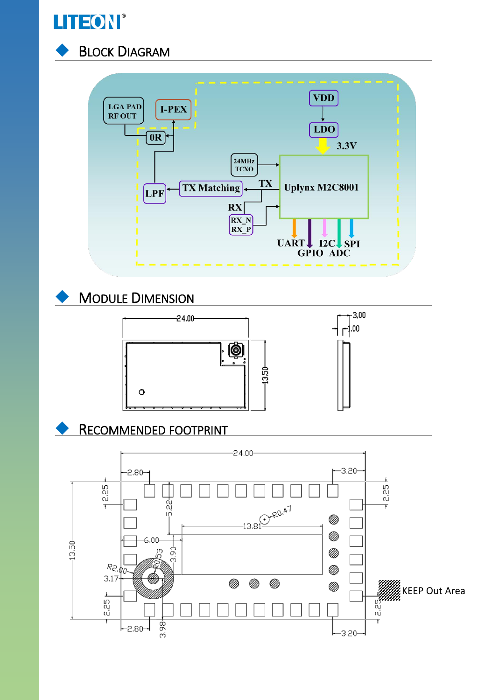



#### **BLOCK DIAGRAM**



**MODULE DIMENSION** 





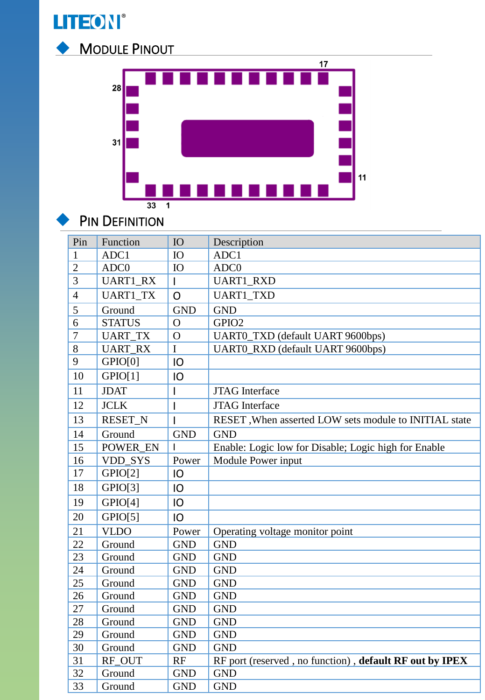



#### PIN DEFINITION

| Pin            | Function        | IO                       | Description                                             |
|----------------|-----------------|--------------------------|---------------------------------------------------------|
| 1              | ADC1            | IO                       | ADC1                                                    |
| $\overline{2}$ | ADC0            | IO                       | ADC0                                                    |
| 3              | <b>UART1_RX</b> | $\overline{1}$           | <b>UART1_RXD</b>                                        |
| $\overline{4}$ | <b>UART1_TX</b> | O                        | <b>UART1_TXD</b>                                        |
| 5              | Ground          | <b>GND</b>               | <b>GND</b>                                              |
| 6              | <b>STATUS</b>   | $\mathbf O$              | GPIO <sub>2</sub>                                       |
| $\overline{7}$ | <b>UART_TX</b>  | $\mathbf O$              | UART0_TXD (default UART 9600bps)                        |
| $\overline{8}$ | <b>UART_RX</b>  | $\mathbf I$              | <b>UART0_RXD</b> (default UART 9600bps)                 |
| 9              | GPIO[0]         | IO                       |                                                         |
| 10             | GPIO[1]         | IO                       |                                                         |
| 11             | <b>JDAT</b>     | $\mathsf{l}$             | <b>JTAG</b> Interface                                   |
| 12             | <b>JCLK</b>     | I                        | <b>JTAG</b> Interface                                   |
| 13             | <b>RESET N</b>  | $\overline{\phantom{a}}$ | RESET, When asserted LOW sets module to INITIAL state   |
| 14             | Ground          | <b>GND</b>               | <b>GND</b>                                              |
| 15             | POWER EN        | $\overline{1}$           | Enable: Logic low for Disable; Logic high for Enable    |
| 16             | VDD_SYS         | Power                    | Module Power input                                      |
| 17             | GPIO[2]         | IO                       |                                                         |
| 18             | GPIO[3]         | IO                       |                                                         |
| 19             | GPIO[4]         | IO                       |                                                         |
| 20             | GPIO[5]         | IO                       |                                                         |
| 21             | <b>VLDO</b>     | Power                    | Operating voltage monitor point                         |
| 22             | Ground          | <b>GND</b>               | <b>GND</b>                                              |
| 23             | Ground          | <b>GND</b>               | <b>GND</b>                                              |
| 24             | Ground          | <b>GND</b>               | <b>GND</b>                                              |
| 25             | Ground          | <b>GND</b>               | <b>GND</b>                                              |
| 26             | Ground          | <b>GND</b>               | <b>GND</b>                                              |
| 27             | Ground          | <b>GND</b>               | <b>GND</b>                                              |
| 28             | Ground          | <b>GND</b>               | <b>GND</b>                                              |
| 29             | Ground          | <b>GND</b>               | <b>GND</b>                                              |
| 30             | Ground          | <b>GND</b>               | <b>GND</b>                                              |
| 31             | RF_OUT          | RF                       | RF port (reserved, no function), default RF out by IPEX |
| 32             | Ground          | <b>GND</b>               | <b>GND</b>                                              |
| 33             | Ground          | <b>GND</b>               | <b>GND</b>                                              |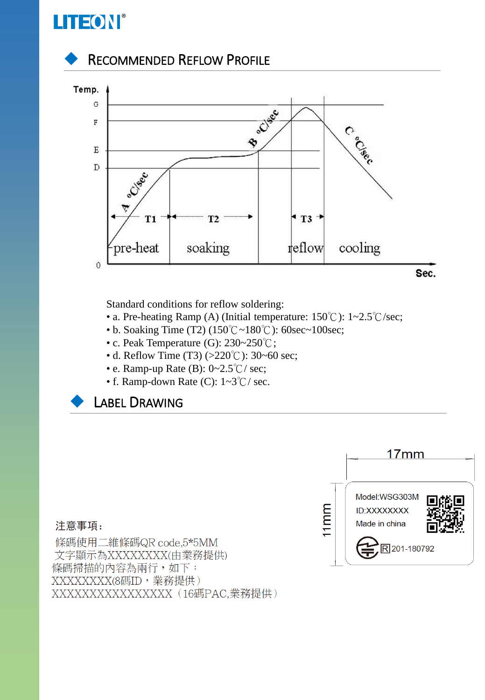





Standard conditions for reflow soldering:

- a. Pre-heating Ramp (A) (Initial temperature: 150℃): 1~2.5℃/sec;
- b. Soaking Time (T2) (150℃~180℃): 60sec~100sec;
- c. Peak Temperature (G): 230~250℃;
- d. Reflow Time (T3) (>220℃): 30~60 sec;
- e. Ramp-up Rate (B): 0~2.5℃/ sec;
- f. Ramp-down Rate (C): 1~3℃/ sec.





#### 注意事項:

條碼使用二維條碼QR code,5\*5MM 文字顯示為XXXXXXXX(由業務提供) 條碼掃描的內容為兩行,如下: XXXXXXX(8碼ID,業務提供) XXXXXXXXXXXXXXXX (16碼PAC,業務提供)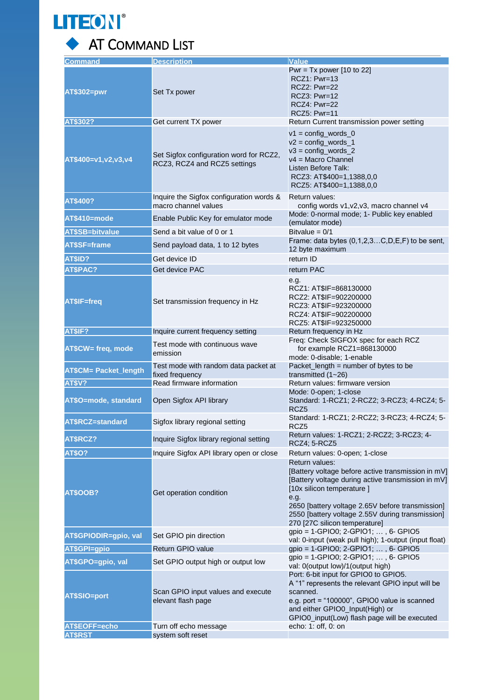

### ◆ AT COMMAND LIST

| <b>Command</b>               | <b>Description</b>                                                      | <b>Value</b>                                                                                                                                                                                                                                                                                             |
|------------------------------|-------------------------------------------------------------------------|----------------------------------------------------------------------------------------------------------------------------------------------------------------------------------------------------------------------------------------------------------------------------------------------------------|
| AT\$302=pwr                  | Set Tx power                                                            | Pwr = Tx power $[10$ to 22]<br>$RCZ1: Pwr=13$<br>RCZ2: Pwr=22<br>RCZ3: Pwr=12<br>RCZ4: Pwr=22<br><b>RCZ5: Pwr=11</b>                                                                                                                                                                                     |
| AT\$302?                     | Get current TX power                                                    | Return Current transmission power setting                                                                                                                                                                                                                                                                |
| AT\$400=v1,v2,v3,v4          | Set Sigfox configuration word for RCZ2,<br>RCZ3, RCZ4 and RCZ5 settings | $v1 = \text{config}_\text{words}_0$<br>$v2 = \text{config}_\text{words}_1$<br>$v3 = \text{config}$ words 2<br>$v4 = Macro Channel$<br>Listen Before Talk:<br>RCZ3: AT\$400=1,1388,0,0<br>RCZ5: AT\$400=1,1388,0,0                                                                                        |
| AT\$400?                     | Inquire the Sigfox configuration words &<br>macro channel values        | Return values:<br>config words v1, v2, v3, macro channel v4                                                                                                                                                                                                                                              |
| AT\$410=mode                 | Enable Public Key for emulator mode                                     | Mode: 0-normal mode; 1- Public key enabled<br>(emulator mode)                                                                                                                                                                                                                                            |
| <b>AT\$SB=bitvalue</b>       | Send a bit value of 0 or 1                                              | Bitvalue = $0/1$                                                                                                                                                                                                                                                                                         |
| AT\$SF=frame                 | Send payload data, 1 to 12 bytes                                        | Frame: data bytes $(0,1,2,3C,D,E,F)$ to be sent,<br>12 byte maximum                                                                                                                                                                                                                                      |
| AT\$ID?                      | Get device ID                                                           | return ID                                                                                                                                                                                                                                                                                                |
| AT\$PAC?                     | Get device PAC                                                          | return PAC                                                                                                                                                                                                                                                                                               |
| AT\$IF=freq                  | Set transmission frequency in Hz                                        | e.g.<br>RCZ1: AT\$IF=868130000<br>RCZ2: AT\$IF=902200000<br>RCZ3: AT\$IF=923200000<br>RCZ4: AT\$IF=902200000<br>RCZ5: AT\$IF=923250000                                                                                                                                                                   |
| AT\$IF?                      | Inquire current frequency setting                                       | Return frequency in Hz                                                                                                                                                                                                                                                                                   |
| AT\$CW= freq, mode           | Test mode with continuous wave<br>emission                              | Freq: Check SIGFOX spec for each RCZ<br>for example RCZ1=868130000<br>mode: 0-disable; 1-enable                                                                                                                                                                                                          |
| <b>AT\$CM= Packet_length</b> | Test mode with random data packet at<br>fixed frequency                 | Packet_length = number of bytes to be<br>transmitted $(1 - 26)$                                                                                                                                                                                                                                          |
| AT\$V?                       | Read firmware information                                               | Return values: firmware version                                                                                                                                                                                                                                                                          |
| AT\$O=mode, standard         | Open Sigfox API library                                                 | Mode: 0-open; 1-close<br>Standard: 1-RCZ1; 2-RCZ2; 3-RCZ3; 4-RCZ4; 5-<br>RCZ <sub>5</sub>                                                                                                                                                                                                                |
| AT\$RCZ=standard             | Sigfox library regional setting                                         | Standard: 1-RCZ1; 2-RCZ2; 3-RCZ3; 4-RCZ4; 5-<br>RCZ5                                                                                                                                                                                                                                                     |
| AT\$RCZ?                     | Inquire Sigfox library regional setting                                 | Return values: 1-RCZ1; 2-RCZ2; 3-RCZ3; 4-<br>RCZ4; 5-RCZ5                                                                                                                                                                                                                                                |
| <b>AT\$O?</b>                | Inquire Sigfox API library open or close                                | Return values: 0-open; 1-close                                                                                                                                                                                                                                                                           |
| AT\$OOB?                     | Get operation condition                                                 | Return values:<br>[Battery voltage before active transmission in mV]<br>[Battery voltage during active transmission in mV]<br>[10x silicon temperature]<br>e.g.<br>2650 [battery voltage 2.65V before transmission]<br>2550 [battery voltage 2.55V during transmission]<br>270 [27C silicon temperature] |
| AT\$GPIODIR=qpio, val        | Set GPIO pin direction                                                  | gpio = 1-GPIO0; 2-GPIO1; , 6- GPIO5<br>val: 0-input (weak pull high); 1-output (input float)                                                                                                                                                                                                             |
| AT\$GPI=gpio                 | Return GPIO value                                                       | gpio = 1-GPIO0; 2-GPIO1; , 6- GPIO5                                                                                                                                                                                                                                                                      |
| AT\$GPO=gpio, val            | Set GPIO output high or output low                                      | gpio = 1-GPIO0; 2-GPIO1; , 6- GPIO5<br>val: 0(output low)/1(output high)                                                                                                                                                                                                                                 |
| AT\$SIO=port                 | Scan GPIO input values and execute<br>elevant flash page                | Port: 6-bit input for GPIO0 to GPIO5.<br>A "1" represents the relevant GPIO input will be<br>scanned.<br>e.g. port = "100000", GPIO0 value is scanned<br>and either GPIO0_Input(High) or<br>GPIO0_input(Low) flash page will be executed                                                                 |
| AT\$EOFF=echo                | Turn off echo message                                                   | echo: 1: off, 0: on                                                                                                                                                                                                                                                                                      |
| <b>AT\$RST</b>               | system soft reset                                                       |                                                                                                                                                                                                                                                                                                          |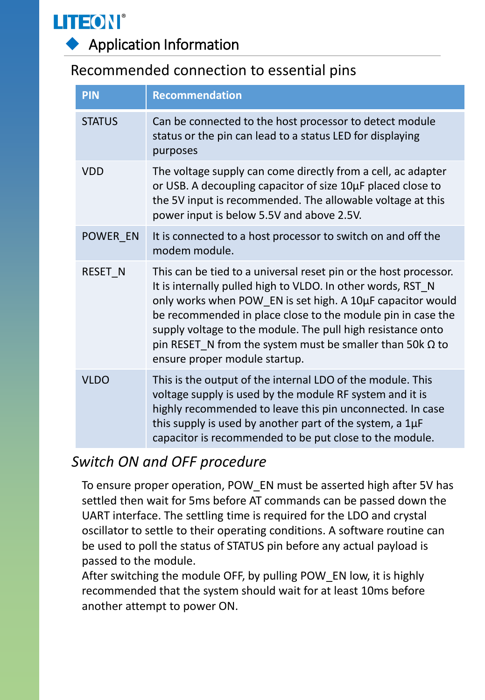

◆ Application Information

#### Recommended connection to essential pins

| <b>PIN</b>    | <b>Recommendation</b>                                                                                                                                                                                                                                                                                                                                                                                                            |
|---------------|----------------------------------------------------------------------------------------------------------------------------------------------------------------------------------------------------------------------------------------------------------------------------------------------------------------------------------------------------------------------------------------------------------------------------------|
| <b>STATUS</b> | Can be connected to the host processor to detect module<br>status or the pin can lead to a status LED for displaying<br>purposes                                                                                                                                                                                                                                                                                                 |
| <b>VDD</b>    | The voltage supply can come directly from a cell, ac adapter<br>or USB. A decoupling capacitor of size 10µF placed close to<br>the 5V input is recommended. The allowable voltage at this<br>power input is below 5.5V and above 2.5V.                                                                                                                                                                                           |
| POWER EN      | It is connected to a host processor to switch on and off the<br>modem module.                                                                                                                                                                                                                                                                                                                                                    |
| RESET N       | This can be tied to a universal reset pin or the host processor.<br>It is internally pulled high to VLDO. In other words, RST N<br>only works when POW_EN is set high. A 10µF capacitor would<br>be recommended in place close to the module pin in case the<br>supply voltage to the module. The pull high resistance onto<br>pin RESET_N from the system must be smaller than 50k $\Omega$ to<br>ensure proper module startup. |
| <b>VLDO</b>   | This is the output of the internal LDO of the module. This<br>voltage supply is used by the module RF system and it is<br>highly recommended to leave this pin unconnected. In case<br>this supply is used by another part of the system, a $1\mu F$<br>capacitor is recommended to be put close to the module.                                                                                                                  |

#### *Switch ON and OFF procedure*

To ensure proper operation, POW EN must be asserted high after 5V has settled then wait for 5ms before AT commands can be passed down the UART interface. The settling time is required for the LDO and crystal oscillator to settle to their operating conditions. A software routine can be used to poll the status of STATUS pin before any actual payload is passed to the module.

After switching the module OFF, by pulling POW\_EN low, it is highly recommended that the system should wait for at least 10ms before another attempt to power ON.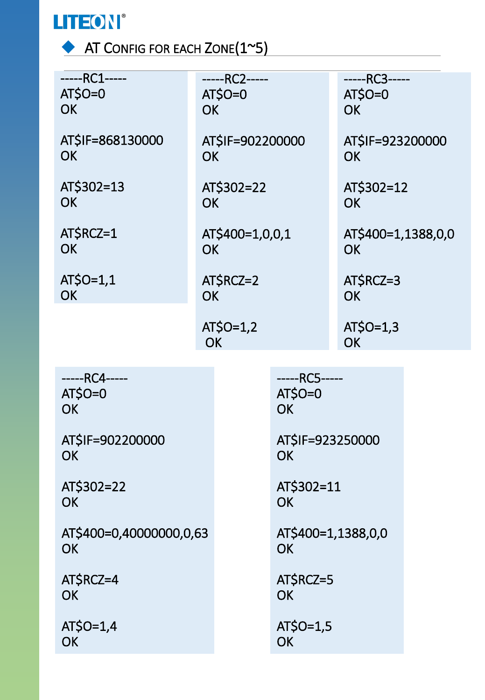

◆ AT CONFIG FOR EACH ZONE(1~5)

| -----RC1-----<br>$AT$O=0$<br><b>OK</b> | -----RC2-----<br>$AT$O=0$<br><b>OK</b> |                                        | -----RC3-----<br>$AT$O=0$<br><b>OK</b> |  |
|----------------------------------------|----------------------------------------|----------------------------------------|----------------------------------------|--|
| AT\$IF=868130000<br><b>OK</b>          | AT\$IF=902200000<br><b>OK</b>          |                                        | AT\$IF=923200000<br><b>OK</b>          |  |
| AT\$302=13<br><b>OK</b>                | AT\$302=22<br><b>OK</b>                |                                        | AT\$302=12<br><b>OK</b>                |  |
| AT\$RCZ=1<br><b>OK</b>                 | AT\$400=1,0,0,1<br><b>OK</b>           |                                        | AT\$400=1,1388,0,0<br><b>OK</b>        |  |
| AT\$0=1,1<br><b>OK</b>                 | AT\$RCZ=2<br><b>OK</b>                 |                                        | AT\$RCZ=3<br><b>OK</b>                 |  |
|                                        | AT\$0=1,2<br><b>OK</b>                 |                                        | $AT$O=1,3$<br><b>OK</b>                |  |
|                                        |                                        |                                        |                                        |  |
| -----RC4-----<br>$AT$O=0$<br>OK        |                                        | -----RC5-----<br>$AT$O=0$<br><b>OK</b> |                                        |  |
| AT\$IF=902200000<br><b>OK</b>          |                                        | AT\$IF=923250000<br>OK                 |                                        |  |
| AT\$302=22<br><b>OK</b>                |                                        | AT\$302=11<br><b>OK</b>                |                                        |  |
| AT\$400=0,40000000,0,63<br><b>OK</b>   |                                        | AT\$400=1,1388,0,0<br><b>OK</b>        |                                        |  |
| AT\$RCZ=4<br><b>OK</b>                 |                                        | AT\$RCZ=5<br><b>OK</b>                 |                                        |  |
| $AT$O=1,4$<br><b>OK</b>                |                                        | $AT$O=1,5$<br><b>OK</b>                |                                        |  |